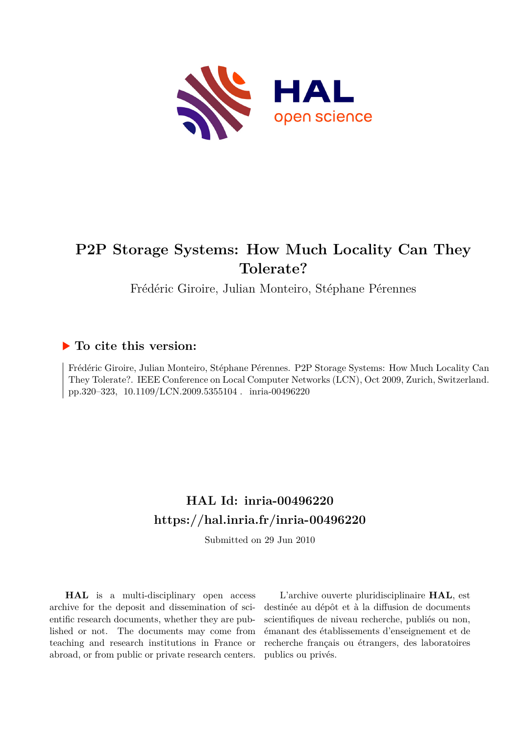

## **P2P Storage Systems: How Much Locality Can They Tolerate?**

Frédéric Giroire, Julian Monteiro, Stéphane Pérennes

### **To cite this version:**

Frédéric Giroire, Julian Monteiro, Stéphane Pérennes. P2P Storage Systems: How Much Locality Can They Tolerate?. IEEE Conference on Local Computer Networks (LCN), Oct 2009, Zurich, Switzerland. pp.320-323, 10.1109/LCN.2009.5355104. inria-00496220

## **HAL Id: inria-00496220 <https://hal.inria.fr/inria-00496220>**

Submitted on 29 Jun 2010

**HAL** is a multi-disciplinary open access archive for the deposit and dissemination of scientific research documents, whether they are published or not. The documents may come from teaching and research institutions in France or abroad, or from public or private research centers.

L'archive ouverte pluridisciplinaire **HAL**, est destinée au dépôt et à la diffusion de documents scientifiques de niveau recherche, publiés ou non, émanant des établissements d'enseignement et de recherche français ou étrangers, des laboratoires publics ou privés.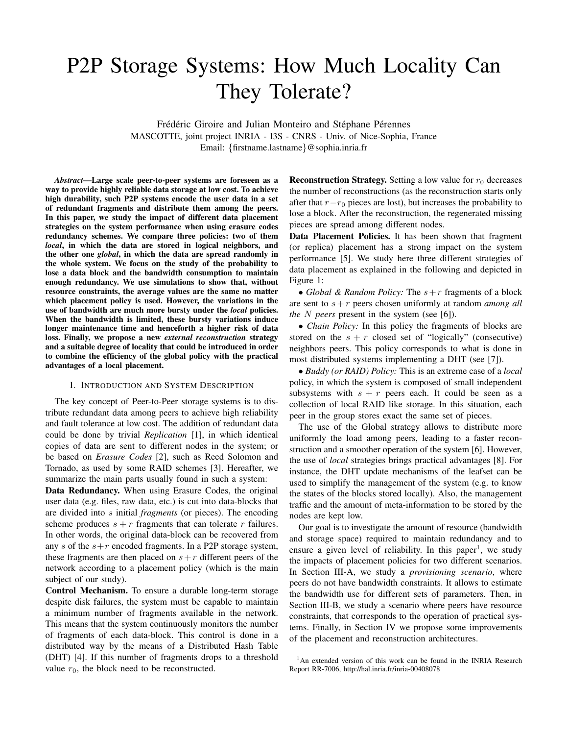# P2P Storage Systems: How Much Locality Can They Tolerate?

Frédéric Giroire and Julian Monteiro and Stéphane Pérennes MASCOTTE, joint project INRIA - I3S - CNRS - Univ. of Nice-Sophia, France Email: {firstname.lastname}@sophia.inria.fr

*Abstract*—Large scale peer-to-peer systems are foreseen as a way to provide highly reliable data storage at low cost. To achieve high durability, such P2P systems encode the user data in a set of redundant fragments and distribute them among the peers. In this paper, we study the impact of different data placement strategies on the system performance when using erasure codes redundancy schemes. We compare three policies: two of them *local*, in which the data are stored in logical neighbors, and the other one *global*, in which the data are spread randomly in the whole system. We focus on the study of the probability to lose a data block and the bandwidth consumption to maintain enough redundancy. We use simulations to show that, without resource constraints, the average values are the same no matter which placement policy is used. However, the variations in the use of bandwidth are much more bursty under the *local* policies. When the bandwidth is limited, these bursty variations induce longer maintenance time and henceforth a higher risk of data loss. Finally, we propose a new *external reconstruction* strategy and a suitable degree of locality that could be introduced in order to combine the efficiency of the global policy with the practical advantages of a local placement.

#### I. INTRODUCTION AND SYSTEM DESCRIPTION

The key concept of Peer-to-Peer storage systems is to distribute redundant data among peers to achieve high reliability and fault tolerance at low cost. The addition of redundant data could be done by trivial *Replication* [1], in which identical copies of data are sent to different nodes in the system; or be based on *Erasure Codes* [2], such as Reed Solomon and Tornado, as used by some RAID schemes [3]. Hereafter, we summarize the main parts usually found in such a system:

Data Redundancy. When using Erasure Codes, the original user data (e.g. files, raw data, etc.) is cut into data-blocks that are divided into s initial *fragments* (or pieces). The encoding scheme produces  $s + r$  fragments that can tolerate r failures. In other words, the original data-block can be recovered from any s of the  $s+r$  encoded fragments. In a P2P storage system, these fragments are then placed on  $s+r$  different peers of the network according to a placement policy (which is the main subject of our study).

Control Mechanism. To ensure a durable long-term storage despite disk failures, the system must be capable to maintain a minimum number of fragments available in the network. This means that the system continuously monitors the number of fragments of each data-block. This control is done in a distributed way by the means of a Distributed Hash Table (DHT) [4]. If this number of fragments drops to a threshold value  $r_0$ , the block need to be reconstructed.

**Reconstruction Strategy.** Setting a low value for  $r_0$  decreases the number of reconstructions (as the reconstruction starts only after that  $r-r_0$  pieces are lost), but increases the probability to lose a block. After the reconstruction, the regenerated missing pieces are spread among different nodes.

Data Placement Policies. It has been shown that fragment (or replica) placement has a strong impact on the system performance [5]. We study here three different strategies of data placement as explained in the following and depicted in Figure 1:

• *Global & Random Policy:* The  $s+r$  fragments of a block are sent to s+r peers chosen uniformly at random *among all the* N *peers* present in the system (see [6]).

• *Chain Policy:* In this policy the fragments of blocks are stored on the  $s + r$  closed set of "logically" (consecutive) neighbors peers. This policy corresponds to what is done in most distributed systems implementing a DHT (see [7]).

• *Buddy (or RAID) Policy:* This is an extreme case of a *local* policy, in which the system is composed of small independent subsystems with  $s + r$  peers each. It could be seen as a collection of local RAID like storage. In this situation, each peer in the group stores exact the same set of pieces.

The use of the Global strategy allows to distribute more uniformly the load among peers, leading to a faster reconstruction and a smoother operation of the system [6]. However, the use of *local* strategies brings practical advantages [8]. For instance, the DHT update mechanisms of the leafset can be used to simplify the management of the system (e.g. to know the states of the blocks stored locally). Also, the management traffic and the amount of meta-information to be stored by the nodes are kept low.

Our goal is to investigate the amount of resource (bandwidth and storage space) required to maintain redundancy and to ensure a given level of reliability. In this paper<sup>1</sup>, we study the impacts of placement policies for two different scenarios. In Section III-A, we study a *provisioning scenario*, where peers do not have bandwidth constraints. It allows to estimate the bandwidth use for different sets of parameters. Then, in Section III-B, we study a scenario where peers have resource constraints, that corresponds to the operation of practical systems. Finally, in Section IV we propose some improvements of the placement and reconstruction architectures.

<sup>1</sup>An extended version of this work can be found in the INRIA Research Report RR-7006, http://hal.inria.fr/inria-00408078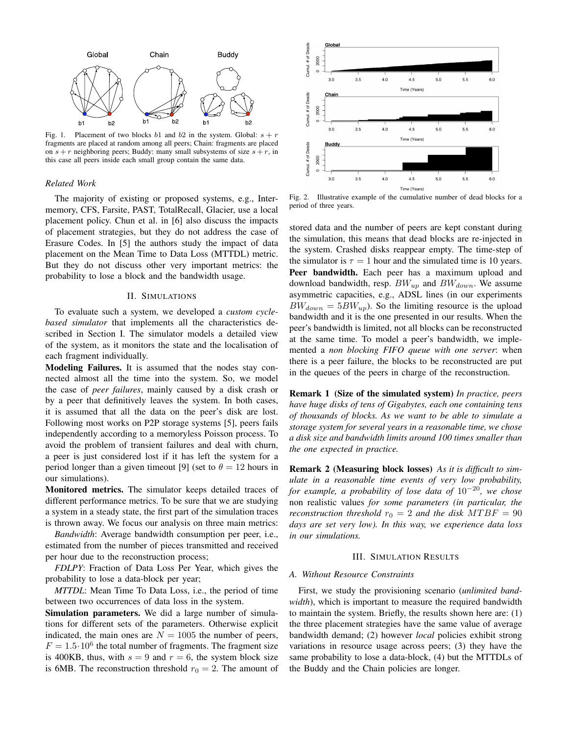

Fig. 1. Placement of two blocks b1 and b2 in the system. Global:  $s + r$ fragments are placed at random among all peers; Chain: fragments are placed on  $s + r$  neighboring peers; Buddy: many small subsystems of size  $s + r$ , in this case all peers inside each small group contain the same data.

#### *Related Work*

The majority of existing or proposed systems, e.g., Intermemory, CFS, Farsite, PAST, TotalRecall, Glacier, use a local placement policy. Chun et al. in [6] also discuss the impacts of placement strategies, but they do not address the case of Erasure Codes. In [5] the authors study the impact of data placement on the Mean Time to Data Loss (MTTDL) metric. But they do not discuss other very important metrics: the probability to lose a block and the bandwidth usage.

#### II. SIMULATIONS

To evaluate such a system, we developed a *custom cyclebased simulator* that implements all the characteristics described in Section I. The simulator models a detailed view of the system, as it monitors the state and the localisation of each fragment individually.

Modeling Failures. It is assumed that the nodes stay connected almost all the time into the system. So, we model the case of *peer failures*, mainly caused by a disk crash or by a peer that definitively leaves the system. In both cases, it is assumed that all the data on the peer's disk are lost. Following most works on P2P storage systems [5], peers fails independently according to a memoryless Poisson process. To avoid the problem of transient failures and deal with churn, a peer is just considered lost if it has left the system for a period longer than a given timeout [9] (set to  $\theta = 12$  hours in our simulations).

Monitored metrics. The simulator keeps detailed traces of different performance metrics. To be sure that we are studying a system in a steady state, the first part of the simulation traces is thrown away. We focus our analysis on three main metrics:

*Bandwidth*: Average bandwidth consumption per peer, i.e., estimated from the number of pieces transmitted and received per hour due to the reconstruction process;

*FDLPY*: Fraction of Data Loss Per Year, which gives the probability to lose a data-block per year;

*MTTDL*: Mean Time To Data Loss, i.e., the period of time between two occurrences of data loss in the system.

Simulation parameters. We did a large number of simulations for different sets of the parameters. Otherwise explicit indicated, the main ones are  $N = 1005$  the number of peers,  $F = 1.5 \cdot 10^6$  the total number of fragments. The fragment size is 400KB, thus, with  $s = 9$  and  $r = 6$ , the system block size is 6MB. The reconstruction threshold  $r_0 = 2$ . The amount of



Fig. 2. Illustrative example of the cumulative number of dead blocks for a period of three years.

stored data and the number of peers are kept constant during the simulation, this means that dead blocks are re-injected in the system. Crashed disks reappear empty. The time-step of the simulator is  $\tau = 1$  hour and the simulated time is 10 years. Peer bandwidth. Each peer has a maximum upload and download bandwidth, resp.  $BW_{up}$  and  $BW_{down}$ . We assume asymmetric capacities, e.g., ADSL lines (in our experiments  $BW_{down} = 5BW_{up}$ . So the limiting resource is the upload bandwidth and it is the one presented in our results. When the peer's bandwidth is limited, not all blocks can be reconstructed at the same time. To model a peer's bandwidth, we implemented a *non blocking FIFO queue with one server*: when there is a peer failure, the blocks to be reconstructed are put in the queues of the peers in charge of the reconstruction.

Remark 1 (Size of the simulated system) *In practice, peers have huge disks of tens of Gigabytes, each one containing tens of thousands of blocks. As we want to be able to simulate a storage system for several years in a reasonable time, we chose a disk size and bandwidth limits around 100 times smaller than the one expected in practice.*

Remark 2 (Measuring block losses) *As it is difficult to simulate in a reasonable time events of very low probability, for example, a probability of lose data of* 10<sup>−</sup><sup>20</sup>*, we chose* non realistic values *for some parameters (in particular, the reconstruction threshold*  $r_0 = 2$  *and the disk MTBF* = 90 *days are set very low). In this way, we experience data loss in our simulations.*

#### III. SIMULATION RESULTS

#### *A. Without Resource Constraints*

First, we study the provisioning scenario (*unlimited bandwidth*), which is important to measure the required bandwidth to maintain the system. Briefly, the results shown here are: (1) the three placement strategies have the same value of average bandwidth demand; (2) however *local* policies exhibit strong variations in resource usage across peers; (3) they have the same probability to lose a data-block, (4) but the MTTDLs of the Buddy and the Chain policies are longer.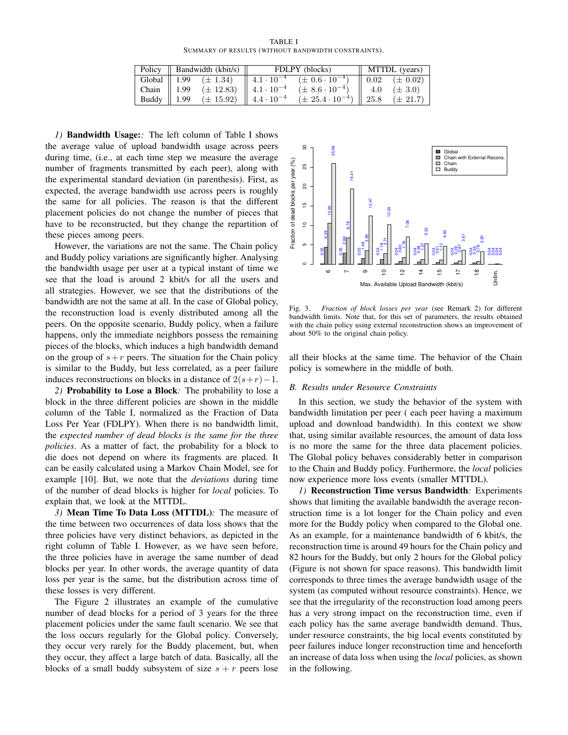TABLE I SUMMARY OF RESULTS (WITHOUT BANDWIDTH CONSTRAINTS).

|                        | Policy $\parallel$ Bandwidth (kbit/s) $\parallel$ |                                      | FDLPY (blocks) |                                                                              | $\parallel$ MTTDL (years) |              |
|------------------------|---------------------------------------------------|--------------------------------------|----------------|------------------------------------------------------------------------------|---------------------------|--------------|
|                        |                                                   |                                      |                | Global    1.99 $(\pm 1.34)$    $4.1 \cdot 10^{-4}$ $(\pm 0.6 \cdot 10^{-4})$ | $\parallel$ 0.02          | $(\pm 0.02)$ |
| Chain $\parallel$ 1.99 |                                                   | $(\pm 12.83)$    $4.1 \cdot 10^{-4}$ |                | $(\pm 8.6 \cdot 10^{-4})$                                                    | 4.0                       | $(\pm 3.0)$  |
| Buddy $\parallel$ 1.99 |                                                   | $(\pm 15.92)$    $4.4 \cdot 10^{-4}$ |                | $(\pm 25.4 \cdot 10^{-4})$                                                   | $\parallel$ 25.8          | $(\pm 21.7)$ |

*1)* Bandwidth Usage:*:* The left column of Table I shows the average value of upload bandwidth usage across peers during time, (i.e., at each time step we measure the average number of fragments transmitted by each peer), along with the experimental standard deviation (in parenthesis). First, as expected, the average bandwidth use across peers is roughly the same for all policies. The reason is that the different placement policies do not change the number of pieces that have to be reconstructed, but they change the repartition of these pieces among peers.

However, the variations are not the same. The Chain policy and Buddy policy variations are significantly higher. Analysing the bandwidth usage per user at a typical instant of time we see that the load is around 2 kbit/s for all the users and all strategies. However, we see that the distributions of the bandwidth are not the same at all. In the case of Global policy, the reconstruction load is evenly distributed among all the peers. On the opposite scenario, Buddy policy, when a failure happens, only the immediate neighbors possess the remaining pieces of the blocks, which induces a high bandwidth demand on the group of  $s+r$  peers. The situation for the Chain policy is similar to the Buddy, but less correlated, as a peer failure induces reconstructions on blocks in a distance of  $2(s+r)-1$ .

*2)* Probability to Lose a Block*:* The probability to lose a block in the three different policies are shown in the middle column of the Table I, normalized as the Fraction of Data Loss Per Year (FDLPY). When there is no bandwidth limit, the *expected number of dead blocks is the same for the three policies*. As a matter of fact, the probability for a block to die does not depend on where its fragments are placed. It can be easily calculated using a Markov Chain Model, see for example [10]. But, we note that the *deviations* during time of the number of dead blocks is higher for *local* policies. To explain that, we look at the MTTDL.

*3)* Mean Time To Data Loss (MTTDL)*:* The measure of the time between two occurrences of data loss shows that the three policies have very distinct behaviors, as depicted in the right column of Table I. However, as we have seen before, the three policies have in average the same number of dead blocks per year. In other words, the average quantity of data loss per year is the same, but the distribution across time of these losses is very different.

The Figure 2 illustrates an example of the cumulative number of dead blocks for a period of 3 years for the three placement policies under the same fault scenario. We see that the loss occurs regularly for the Global policy. Conversely, they occur very rarely for the Buddy placement, but, when they occur, they affect a large batch of data. Basically, all the blocks of a small buddy subsystem of size  $s + r$  peers lose



Fig. 3. *Fraction of block losses per year* (see Remark 2) for different bandwidth limits. Note that, for this set of parameters, the results obtained with the chain policy using external reconstruction shows an improvement of about 50% to the original chain policy.

all their blocks at the same time. The behavior of the Chain policy is somewhere in the middle of both.

#### *B. Results under Resource Constraints*

In this section, we study the behavior of the system with bandwidth limitation per peer ( each peer having a maximum upload and download bandwidth). In this context we show that, using similar available resources, the amount of data loss is no more the same for the three data placement policies. The Global policy behaves considerably better in comparison to the Chain and Buddy policy. Furthermore, the *local* policies now experience more loss events (smaller MTTDL).

*1)* Reconstruction Time versus Bandwidth*:* Experiments shows that limiting the available bandwidth the average reconstruction time is a lot longer for the Chain policy and even more for the Buddy policy when compared to the Global one. As an example, for a maintenance bandwidth of 6 kbit/s, the reconstruction time is around 49 hours for the Chain policy and 82 hours for the Buddy, but only 2 hours for the Global policy (Figure is not shown for space reasons). This bandwidth limit corresponds to three times the average bandwidth usage of the system (as computed without resource constraints). Hence, we see that the irregularity of the reconstruction load among peers has a very strong impact on the reconstruction time, even if each policy has the same average bandwidth demand. Thus, under resource constraints, the big local events constituted by peer failures induce longer reconstruction time and henceforth an increase of data loss when using the *local* policies, as shown in the following.